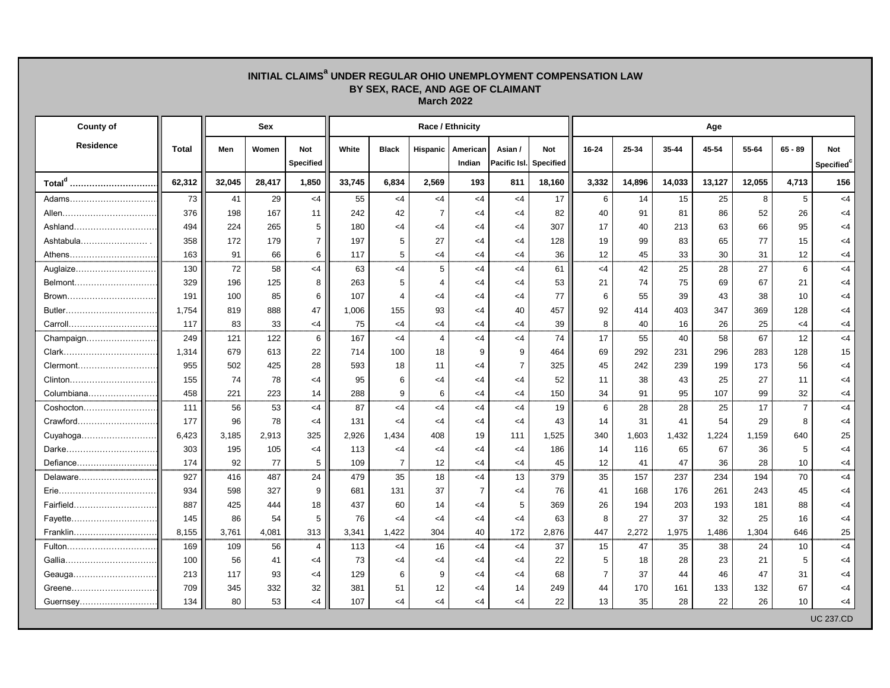| BY SEX, RACE, AND AGE OF CLAIMANT<br><b>March 2022</b> |              |        |            |                  |        |                       |                         |                     |                 |                        |                 |        |        |        |        |                 |                        |  |  |
|--------------------------------------------------------|--------------|--------|------------|------------------|--------|-----------------------|-------------------------|---------------------|-----------------|------------------------|-----------------|--------|--------|--------|--------|-----------------|------------------------|--|--|
| <b>County of</b>                                       |              |        | <b>Sex</b> |                  |        |                       | <b>Race / Ethnicity</b> |                     |                 |                        | Age             |        |        |        |        |                 |                        |  |  |
| <b>Residence</b>                                       | <b>Total</b> | Men    | Women      | <b>Not</b>       | White  | <b>Black</b>          |                         | Hispanic   American | Asian /         | <b>Not</b>             | 16-24           | 25-34  | 35-44  | 45-54  | 55-64  | $65 - 89$       | <b>Not</b>             |  |  |
|                                                        |              |        |            | <b>Specified</b> |        |                       |                         | Indian              |                 | Pacific Isl. Specified |                 |        |        |        |        |                 | Specified <sup>c</sup> |  |  |
| Total <sup>d</sup>                                     | 62,312       | 32,045 | 28,417     | 1,850            | 33,745 | 6,834                 | 2,569                   | 193                 | 811             | 18,160                 | 3,332           | 14,896 | 14,033 | 13,127 | 12,055 | 4,713           | 156                    |  |  |
| Adams                                                  | 73           | 41     | 29         | $<$ 4            | 55     | $<$ 4                 | $<$ 4                   | $<$ 4               | $<$ 4           | 17                     | 6               | 14     | 15     | 25     | 8      | 5               | $<$ 4                  |  |  |
|                                                        | 376          | 198    | 167        | 11               | 242    | 42                    | $\overline{7}$          | $<$ 4               | $<$ 4           | 82                     | 40              | 91     | 81     | 86     | 52     | 26              | $<$ 4                  |  |  |
| Ashland                                                | 494          | 224    | 265        | 5                | 180    | $<$ 4                 | <4                      | $\leq$ 4            | $<$ 4           | 307                    | 17              | 40     | 213    | 63     | 66     | 95              | $<$ 4                  |  |  |
| Ashtabula                                              | 358          | 172    | 179        | $\overline{7}$   | 197    | 5                     | 27                      | $\leq$ 4            | $<$ 4           | 128                    | 19              | 99     | 83     | 65     | 77     | 15              | $<$ 4                  |  |  |
| Athens                                                 | 163          | 91     | 66         | 6                | 117    | 5                     | <4                      | $\leq$ 4            | $<$ 4           | 36                     | 12              | 45     | 33     | 30     | 31     | 12 <sub>2</sub> | $<$ 4                  |  |  |
| Auglaize                                               | 130          | 72     | 58         | $<$ 4            | 63     | $\leq$ 4              | 5                       | $\leq 4$            | $<$ 4           | 61                     | $\leq$ 4        | 42     | 25     | 28     | 27     | 6               | $\leq$ 4               |  |  |
| Belmont                                                | 329          | 196    | 125        | 8                | 263    | 5                     |                         | $\leq$ 4            | $<$ 4           | 53                     | 21              | 74     | 75     | 69     | 67     | 21              | $<$ 4                  |  |  |
| Brown                                                  | 191          | 100    | 85         | 6                | 107    | $\boldsymbol{\Delta}$ | <4                      | $<$ 4               | $<$ 4           | 77                     | 6               | 55     | 39     | 43     | 38     | 10              | $<$ 4                  |  |  |
| Butler                                                 | 1,754        | 819    | 888        | 47               | 1,006  | 155                   | 93                      | $<$ 4               | 40              | 457                    | 92              | 414    | 403    | 347    | 369    | 128             | $<$ 4                  |  |  |
|                                                        | 117          | 83     | 33         | $<$ 4            | 75     | <4                    | $<$ 4                   | $\leq$ 4            | $<$ 4           | 39                     | 8               | 40     | 16     | 26     | 25     | <4              | $<$ 4                  |  |  |
|                                                        | 249          | 121    | 122        | $6\overline{6}$  | 167    | $<$ 4                 | 4                       | <4                  | $<$ 4           | 74                     | 17              | 55     | 40     | 58     | 67     | 12              | $<$ 4                  |  |  |
|                                                        | 1,314        | 679    | 613        | 22               | 714    | 100                   | 18                      | 9                   | 9               | 464                    | 69              | 292    | 231    | 296    | 283    | 128             | 15                     |  |  |
|                                                        | 955          | 502    | 425        | 28               | 593    | 18                    | 11                      | $\leq$ 4            | $\overline{7}$  | 325                    | 45              | 242    | 239    | 199    | 173    | 56              | $<$ 4                  |  |  |
|                                                        | 155          | 74     | 78         | <4               | 95     | 6                     | <4                      | $\leq$ 4            | $<$ 4           | 52                     | 11              | 38     | 43     | 25     | 27     | 11              | <4                     |  |  |
| Columbiana                                             | 458          | 221    | 223        | 14               | 288    | 9                     | 6                       | $\leq$ 4            | $<$ 4           | 150                    | 34              | 91     | 95     | 107    | 99     | 32              | $<$ 4                  |  |  |
| Coshocton                                              | 111          | 56     | 53         | $<$ 4            | 87     | $<$ 4                 | $<$ 4                   | $<$ 4               | $<$ 4           | 19                     | 6               | 28     | 28     | 25     | 17     | $\overline{7}$  | $<$ 4                  |  |  |
|                                                        | 177          | 96     | 78         | $\leq 4$         | 131    | <4                    | $\leq 4$                | $<$ 4               | $<$ 4           | 43                     | 14              | 31     | 41     | 54     | 29     | 8               | <4                     |  |  |
|                                                        | 6,423        | 3,185  | 2,913      | 325              | 2,926  | 1,434                 | 408                     | 19                  | 111             | 1,525                  | 340             | 1,603  | 1,432  | 1,224  | 1,159  | 640             | 25                     |  |  |
| Darke                                                  | 303          | 195    | 105        | <4               | 113    | <4                    | <4                      | $\leq$ 4            | $\leq$ 4        | 186                    | 14              | 116    | 65     | 67     | 36     | 5               | $<$ 4                  |  |  |
| Defiance                                               | 174          | 92     | 77         | 5 <sub>5</sub>   | 109    |                       | 12                      | $<$ 4               | $<$ 4           | 45                     | 12              | 41     | 47     | 36     | 28     | 10              | <4                     |  |  |
| Delaware                                               | 927          | 416    | 487        | 24               | 479    | 35                    | 18                      | <4                  | 13              | 379                    | 35              | 157    | 237    | 234    | 194    | 70              | $<$ 4                  |  |  |
|                                                        | 934          | 598    | 327        | 9                | 681    | 131                   | 37                      | $\overline{7}$      | $<$ 4           | 76                     | 41              | 168    | 176    | 261    | 243    | 45              | $<$ 4                  |  |  |
| Fairfield                                              | 887          | 425    | 444        | 18               | 437    | 60                    | 14                      | $<$ 4               | $5\phantom{.0}$ | 369                    | 26              | 194    | 203    | 193    | 181    | 88              | $<$ 4                  |  |  |
| Fayette                                                | 145          | 86     | 54         | 5                | 76     | <4                    | <4                      | $<$ 4               | $<$ 4           | 63                     | 8               | 27     | 37     | 32     | 25     | 16              | $<$ 4                  |  |  |
| Franklin                                               | 8,155        | 3,761  | 4,081      | 313              | 3,341  | 1,422                 | 304                     | 40                  | 172             | 2,876                  | 447             | 2,272  | 1,975  | 1,486  | 1,304  | 646             | 25                     |  |  |
| Fulton                                                 | 169          | 109    | 56         | 4                | 113    | $\leq$ 4              | 16                      | $<$ 4               | $<$ 4           | 37                     | 15              | 47     | 35     | 38     | 24     | 10 <sup>°</sup> | $<$ 4                  |  |  |
|                                                        | 100          | 56     | 41         | $<$ 4            | 73     | $<$ 4                 | $<$ 4                   | $<$ 4               | $<$ 4           | 22                     | 5               | 18     | 28     | 23     | 21     | 5               | $<$ 4                  |  |  |
| Geauga                                                 | 213          | 117    | 93         | $<$ 4            | 129    | 6                     | 9                       | $\leq$ 4            | $<$ 4           | 68                     | $\overline{7}$  | 37     | 44     | 46     | 47     | 31              | <4                     |  |  |
| Greene                                                 | 709          | 345    | 332        | 32               | 381    | 51                    | 12                      | $\leq$ 4            | 14              | 249                    | 44              | 170    | 161    | 133    | 132    | 67              | $<$ 4                  |  |  |
| Guernsey                                               | 134          | 80     | 53         | <4               | 107    | $<$ 4                 | <4                      | $<$ 4               | $<$ 4           | 22                     | 13 <sup>°</sup> | 35     | 28     | 22     | 26     | 10 <sup>°</sup> | $<$ 4                  |  |  |
|                                                        |              |        |            |                  |        |                       |                         |                     |                 |                        |                 |        |        |        |        |                 | <b>UC 237.CD</b>       |  |  |

## **INITIAL CLAIMS<sup>a</sup> UNDER REGULAR OHIO UNEMPLOYMENT COMPENSATION LAW**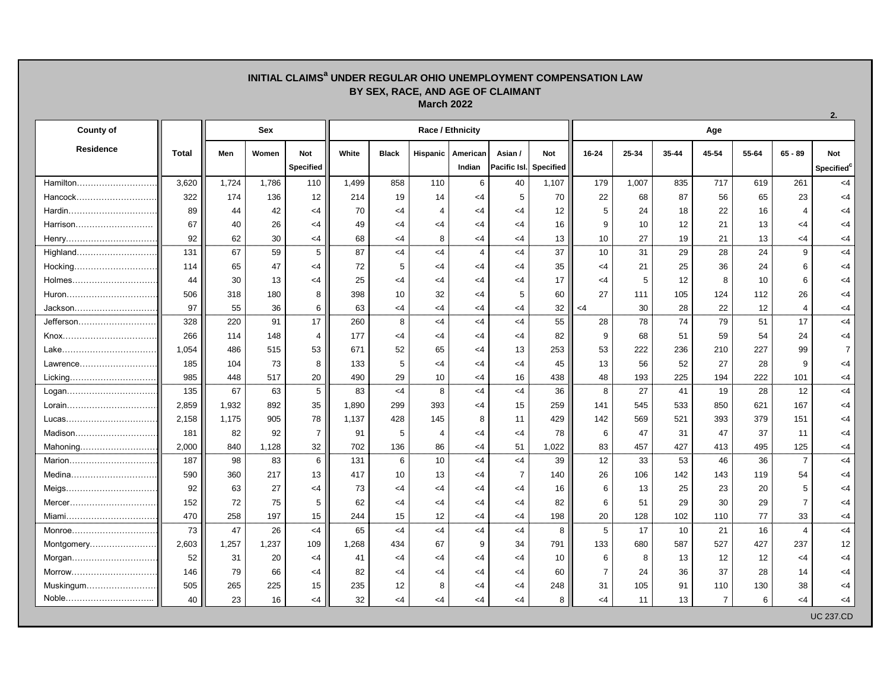## **INITIAL CLAIMS<sup>a</sup> UNDER REGULAR OHIO UNEMPLOYMENT COMPENSATION LAW BY SEX, RACE, AND AGE OF CLAIMANT March 2022**

**2.**

| <b>County of</b> |              |       | <b>Sex</b> |                  |       |              |                 | <b>Race / Ethnicity</b> |                |                               | Age             |       |                 |                |       |                  |                        |  |  |
|------------------|--------------|-------|------------|------------------|-------|--------------|-----------------|-------------------------|----------------|-------------------------------|-----------------|-------|-----------------|----------------|-------|------------------|------------------------|--|--|
| <b>Residence</b> | <b>Total</b> | Men   | Women      | <b>Not</b>       | White | <b>Black</b> | <b>Hispanic</b> | American                | Asian /        | <b>Not</b>                    | 16-24           | 25-34 | 35-44           | 45-54          | 55-64 | $65 - 89$        | <b>Not</b>             |  |  |
|                  |              |       |            | <b>Specified</b> |       |              |                 | Indian                  |                | <b>Pacific Isl.</b> Specified |                 |       |                 |                |       |                  | Specified <sup>c</sup> |  |  |
| Hamilton         | 3,620        | 1,724 | 1,786      | 110              | 1,499 | 858          | 110             | 6                       | 40             | 1,107                         | 179             | 1,007 | 835             | 717            | 619   | 261              | $<$ 4                  |  |  |
| Hancock          | 322          | 174   | 136        | 12               | 214   | 19           | 14              | <4                      | 5              | 70                            | 22              | 68    | 87              | 56             | 65    | 23               | $<$ 4                  |  |  |
|                  | 89           | 44    | 42         | <4               | 70    | <4           | 4               | <4                      | $\leq$ 4       | 12                            | 5               | 24    | 18              | 22             | 16    | $\boldsymbol{4}$ | $<$ 4                  |  |  |
| Harrison         | 67           | 40    | 26         | <4               | 49    | <4           | -4              | <4                      | $<$ 4          | 16                            | 9               | 10    | 12              | 21             | 13    | <4               | $<$ 4                  |  |  |
| Henry            | 92           | 62    | 30         | <4               | 68    | <4           | 8               | <4                      | $<$ 4          | 13                            | 10              | 27    | 19              | 21             | 13    | <4               | $<$ 4                  |  |  |
| Highland         | 131          | 67    | 59         | 5                | 87    | <4           | $\leq 4$        | $\overline{4}$          | $<$ 4          | 37                            | 10              | 31    | 29              | 28             | 24    | 9                | $<$ 4                  |  |  |
|                  | 114          | 65    | 47         | <4               | 72    |              | -4              | <4                      | $<$ 4          | 35                            | <4              | 21    | 25              | 36             | 24    | 6                | $<$ 4                  |  |  |
|                  | 44           | 30    | 13         | <4               | 25    | <4           | -4              | <4                      | $<$ 4          | 17                            | $\leq$ 4        | 5     | 12              | 8              | 10    | 6                | $<$ 4                  |  |  |
| Huron            | 506          | 318   | 180        |                  | 398   | 10           | 32              | <4                      | 5              | 60                            | 27              | 111   | 105             | 124            | 112   | 26               | $<$ 4                  |  |  |
| Jackson          | 97           | 55    | 36         | 6                | 63    | <4           | $<$ 4           | <4                      | $<$ 4          | 32                            | <4              | 30    | 28              | 22             | 12    | $\overline{4}$   | $<$ 4                  |  |  |
| Jefferson        | 328          | 220   | 91         | 17               | 260   | 8            | $\leq 4$        | $<$ 4                   | $<$ 4          | 55                            | 28              | 78    | 74              | 79             | 51    | 17               | $<$ 4                  |  |  |
|                  | 266          | 114   | 148        | 4                | 177   | <4           | -4              | <4                      | $<$ 4          | 82                            | 9               | 68    | 51              | 59             | 54    | 24               | $<$ 4                  |  |  |
| Lake             | 1,054        | 486   | 515        | 53               | 671   | 52           | 65              | <4                      | 13             | 253                           | 53              | 222   | 236             | 210            | 227   | 99               | $\overline{7}$         |  |  |
| Lawrence         | 185          | 104   | 73         |                  | 133   | 5            | -4              | <4                      | $<$ 4          | 45                            | 13              | 56    | 52              | 27             | 28    | 9                | $<$ 4                  |  |  |
|                  | 985          | 448   | 517        | 20               | 490   | 29           | 10              | $\leq$ 4                | 16             | 438                           | 48              | 193   | 225             | 194            | 222   | 101              | $<$ 4                  |  |  |
|                  | 135          | 67    | 63         | 5                | 83    | $\leq$ 4     | 8               | $<$ 4                   | $<$ 4          | 36                            | 8               | 27    | 41              | 19             | 28    | 12               | $<$ 4                  |  |  |
| Lorain           | 2,859        | 1,932 | 892        | 35               | 1,890 | 299          | 393             | <4                      | 15             | 259                           | 141             | 545   | 533             | 850            | 621   | 167              | $<$ 4                  |  |  |
| Lucas            | 2,158        | 1,175 | 905        | 78               | 1,137 | 428          | 145             | 8                       | 11             | 429                           | 142             | 569   | 521             | 393            | 379   | 151              | $<$ 4                  |  |  |
| Madison          | 181          | 82    | 92         | $\overline{7}$   | 91    | 5            | 4               | <4                      | $<$ 4          | 78                            | 6               | 47    | 31              | 47             | 37    | 11               | $<$ 4                  |  |  |
| Mahoning         | 2,000        | 840   | 1,128      | 32               | 702   | 136          | 86              | $\leq$ 4                | 51             | 1,022                         | 83              | 457   | 427             | 413            | 495   | 125              | $<$ 4                  |  |  |
|                  | 187          | 98    | 83         | 6                | 131   | 6            | 10              | $\leq$ 4                | $<$ 4          | 39                            | 12              | 33    | 53              | 46             | 36    | $\overline{7}$   | $<$ 4                  |  |  |
| Medina           | 590          | 360   | 217        | 13               | 417   | 10           | 13              | <4                      | $\overline{7}$ | 140                           | 26              | 106   | 142             | 143            | 119   | 54               | $<$ 4                  |  |  |
|                  | 92           | 63    | 27         | <4               | 73    | <4           | <4              | <4                      | <4             | 16                            | 6               | 13    | 25              | 23             | 20    | 5                | <4                     |  |  |
|                  | 152          | 72    | 75         | 5                | 62    | <4           | $\leq$ 4        | <4                      | $<$ 4          | 82                            | 6               | 51    | 29              | 30             | 29    | $\overline{7}$   | $<$ 4                  |  |  |
| Miami            | 470          | 258   | 197        | 15               | 244   | 15           | 12              | $<$ 4                   | $<$ 4          | 198                           | 20              | 128   | 102             | 110            | 77    | 33               | $<$ 4                  |  |  |
| Monroe           | 73           | 47    | 26         | $<$ 4            | 65    | $\leq$ 4     | $<$ 4           | $<$ 4                   | $<$ 4          | 8                             | $5\phantom{.0}$ | 17    | 10 <sup>°</sup> | 21             | 16    | $\overline{4}$   | $<$ 4                  |  |  |
|                  | 2,603        | 1,257 | 1,237      | 109              | 1,268 | 434          | 67              | 9                       | 34             | 791                           | 133             | 680   | 587             | 527            | 427   | 237              | 12                     |  |  |
|                  | 52           | 31    | 20         | $<$ 4            | 41    | <4           | $\leq$ 4        | $<$ 4                   | $<$ 4          | 10                            | 6               | 8     | 13              | 12             | 12    | $<$ 4            | $<$ 4                  |  |  |
| Morrow           | 146          | 79    | 66         | $<$ 4            | 82    | <4           | $\leq$ 4        | $<$ 4                   | $<$ 4          | 60                            | $\overline{7}$  | 24    | 36              | 37             | 28    | 14               | $<$ 4                  |  |  |
| Muskingum        | 505          | 265   | 225        | 15               | 235   | 12           | 8               | <4                      | $<$ 4          | 248                           | 31              | 105   | 91              | 110            | 130   | 38               | $<$ 4                  |  |  |
| Noble            | 40           | 23    | 16         | <4               | 32    | <4           | $\leq 4$        | $<$ 4                   | $<$ 4          | 8                             | $<$ 4           | 11    | 13 <sup>2</sup> | $\overline{7}$ | 6     | $<$ 4            | $<$ 4                  |  |  |
|                  |              |       |            |                  |       |              |                 |                         |                |                               |                 |       |                 |                |       |                  | <b>UC 237.CD</b>       |  |  |